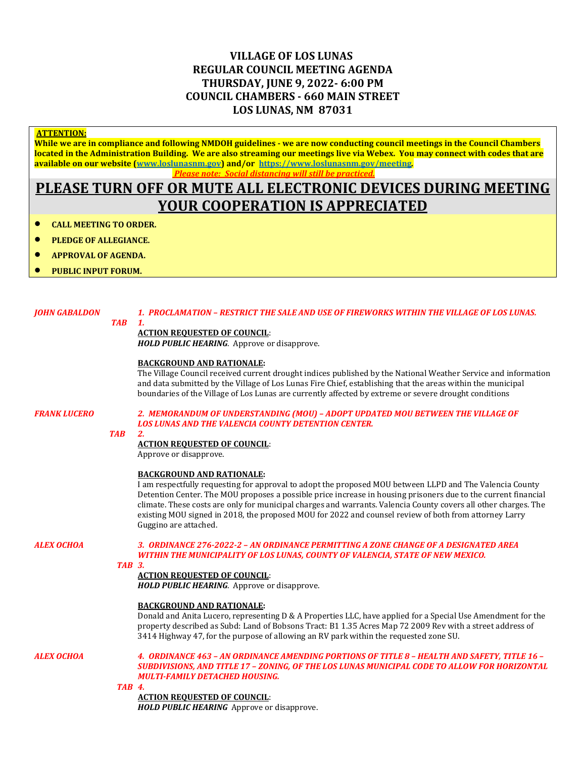# **VILLAGE OF LOS LUNAS REGULAR COUNCIL MEETING AGENDA THURSDAY, JUNE 9, 2022- 6:00 PM COUNCIL CHAMBERS - 660 MAIN STREET LOS LUNAS, NM 87031**

### **ATTENTION:**

**While we are in compliance and following NMDOH guidelines - we are now conducting council meetings in the Council Chambers located in the Administration Building. We are also streaming our meetings live via Webex. You may connect with codes that are available on our website [\(www.loslunasnm.gov\)](http://www.loslunasnm.gov/) and/or<https://www.loslunasnm.gov/meeting>***. Please note: Social distancing will still be practiced.*

# **PLEASE TURN OFF OR MUTE ALL ELECTRONIC DEVICES DURING MEETING YOUR COOPERATION IS APPRECIATED**

- **CALL MEETING TO ORDER.**
- **PLEDGE OF ALLEGIANCE.**
- **APPROVAL OF AGENDA.**
- **PUBLIC INPUT FORUM.**

#### *JOHN GABALDON 1. PROCLAMATION – RESTRICT THE SALE AND USE OF FIREWORKS WITHIN THE VILLAGE OF LOS LUNAS. TAB 1.*

#### **ACTION REQUESTED OF COUNCIL**:

*HOLD PUBLIC HEARING*. Approve or disapprove.

### **BACKGROUND AND RATIONALE:**

The Village Council received current drought indices published by the National Weather Service and information and data submitted by the Village of Los Lunas Fire Chief, establishing that the areas within the municipal boundaries of the Village of Los Lunas are currently affected by extreme or severe drought conditions

*FRANK LUCERO 2. MEMORANDUM OF UNDERSTANDING (MOU) – ADOPT UPDATED MOU BETWEEN THE VILLAGE OF LOS LUNAS AND THE VALENCIA COUNTY DETENTION CENTER.*

#### *TAB 2.*

### **ACTION REQUESTED OF COUNCIL**:

Approve or disapprove.

### **BACKGROUND AND RATIONALE:**

I am respectfully requesting for approval to adopt the proposed MOU between LLPD and The Valencia County Detention Center. The MOU proposes a possible price increase in housing prisoners due to the current financial climate. These costs are only for municipal charges and warrants. Valencia County covers all other charges. The existing MOU signed in 2018, the proposed MOU for 2022 and counsel review of both from attorney Larry Guggino are attached.

### *ALEX OCHOA 3. ORDINANCE 276-2022-2 – AN ORDINANCE PERMITTING A ZONE CHANGE OF A DESIGNATED AREA WITHIN THE MUNICIPALITY OF LOS LUNAS, COUNTY OF VALENCIA, STATE OF NEW MEXICO.*

#### *TAB 3.*

### **ACTION REQUESTED OF COUNCIL**:

*HOLD PUBLIC HEARING*. Approve or disapprove.

#### **BACKGROUND AND RATIONALE:**

Donald and Anita Lucero, representing D & A Properties LLC, have applied for a Special Use Amendment for the property described as Subd: Land of Bobsons Tract: B1 1.35 Acres Map 72 2009 Rev with a street address of 3414 Highway 47, for the purpose of allowing an RV park within the requested zone SU.

#### *ALEX OCHOA 4. ORDINANCE 463 – AN ORDINANCE AMENDING PORTIONS OF TITLE 8 – HEALTH AND SAFETY, TITLE 16 – SUBDIVISIONS, AND TITLE 17 – ZONING, OF THE LOS LUNAS MUNICIPAL CODE TO ALLOW FOR HORIZONTAL MULTI-FAMILY DETACHED HOUSING.*

#### *TAB 4.*

**ACTION REQUESTED OF COUNCIL**: *HOLD PUBLIC HEARING* Approve or disapprove.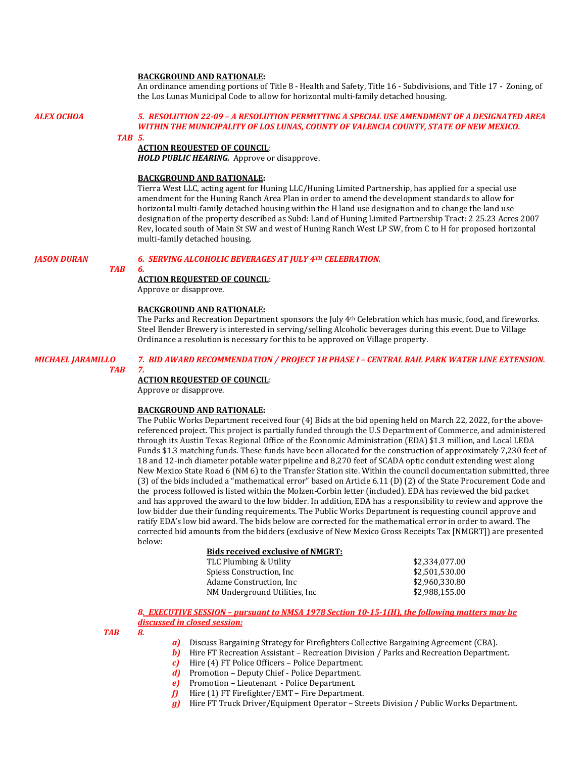#### **BACKGROUND AND RATIONALE:**

An ordinance amending portions of Title 8 - Health and Safety, Title 16 - Subdivisions, and Title 17 - Zoning, of the Los Lunas Municipal Code to allow for horizontal multi-family detached housing.

#### *ALEX OCHOA 5. RESOLUTION 22-09 – A RESOLUTION PERMITTING A SPECIAL USE AMENDMENT OF A DESIGNATED AREA WITHIN THE MUNICIPALITY OF LOS LUNAS, COUNTY OF VALENCIA COUNTY, STATE OF NEW MEXICO.*

#### *TAB 5.*

#### **ACTION REQUESTED OF COUNCIL**:

*HOLD PUBLIC HEARING.* Approve or disapprove.

#### **BACKGROUND AND RATIONALE:**

Tierra West LLC, acting agent for Huning LLC/Huning Limited Partnership, has applied for a special use amendment for the Huning Ranch Area Plan in order to amend the development standards to allow for horizontal multi-family detached housing within the H land use designation and to change the land use designation of the property described as Subd: Land of Huning Limited Partnership Tract: 2 25.23 Acres 2007 Rev, located south of Main St SW and west of Huning Ranch West LP SW, from C to H for proposed horizontal multi-family detached housing.

#### *JASON DURAN 6. SERVING ALCOHOLIC BEVERAGES AT JULY 4TH CELEBRATION.*

#### *TAB 6.*

#### **ACTION REQUESTED OF COUNCIL**:

Approve or disapprove.

#### **BACKGROUND AND RATIONALE:**

The Parks and Recreation Department sponsors the July 4th Celebration which has music, food, and fireworks. Steel Bender Brewery is interested in serving/selling Alcoholic beverages during this event. Due to Village Ordinance a resolution is necessary for this to be approved on Village property.

#### *MICHAEL JARAMILLO 7. BID AWARD RECOMMENDATION / PROJECT 1B PHASE I – CENTRAL RAIL PARK WATER LINE EXTENSION.*

#### *TAB 7.*

**ACTION REQUESTED OF COUNCIL**:

Approve or disapprove.

#### **BACKGROUND AND RATIONALE:**

The Public Works Department received four (4) Bids at the bid opening held on March 22, 2022, for the abovereferenced project. This project is partially funded through the U.S Department of Commerce, and administered through its Austin Texas Regional Office of the Economic Administration (EDA) \$1.3 million, and Local LEDA Funds \$1.3 matching funds. These funds have been allocated for the construction of approximately 7,230 feet of 18 and 12-inch diameter potable water pipeline and 8,270 feet of SCADA optic conduit extending west along New Mexico State Road 6 (NM 6) to the Transfer Station site. Within the council documentation submitted, three (3) of the bids included a "mathematical error" based on Article 6.11 (D) (2) of the State Procurement Code and the process followed is listed within the Molzen-Corbin letter (included). EDA has reviewed the bid packet and has approved the award to the low bidder. In addition, EDA has a responsibility to review and approve the low bidder due their funding requirements. The Public Works Department is requesting council approve and ratify EDA's low bid award. The bids below are corrected for the mathematical error in order to award. The corrected bid amounts from the bidders (exclusive of New Mexico Gross Receipts Tax [NMGRT]) are presented below:

## **Bids received exclusive of NMGRT:** TLC Plumbing & Utility  $$2,334,077.00$ <br>Spiess Construction, Inc  $$2,501,530.00$ Spiess Construction, Inc  $$2,501,530.00$ <br>Adame Construction, Inc  $$2,960,330.80$ Adame Construction, Inc  $$2,960,330.80$ <br>NM Underground Utilities, Inc  $$2,988,155.00$

## NM Underground Utilities, Inc. *8.**EXECUTIVE SESSION – pursuant to NMSA 1978 Section 10-15-1(H), the following matters may be discussed in closed session:*

#### *TAB 8.*

- *a)* Discuss Bargaining Strategy for Firefighters Collective Bargaining Agreement (CBA).
- *b*) Hire FT Recreation Assistant Recreation Division / Parks and Recreation Department.
- *c)* Hire (4) FT Police Officers Police Department.
- *d)* Promotion Deputy Chief Police Department.
- *e)* Promotion Lieutenant Police Department.
- *f)* Hire (1) FT Firefighter/EMT Fire Department.
- *g)* Hire FT Truck Driver/Equipment Operator Streets Division / Public Works Department.